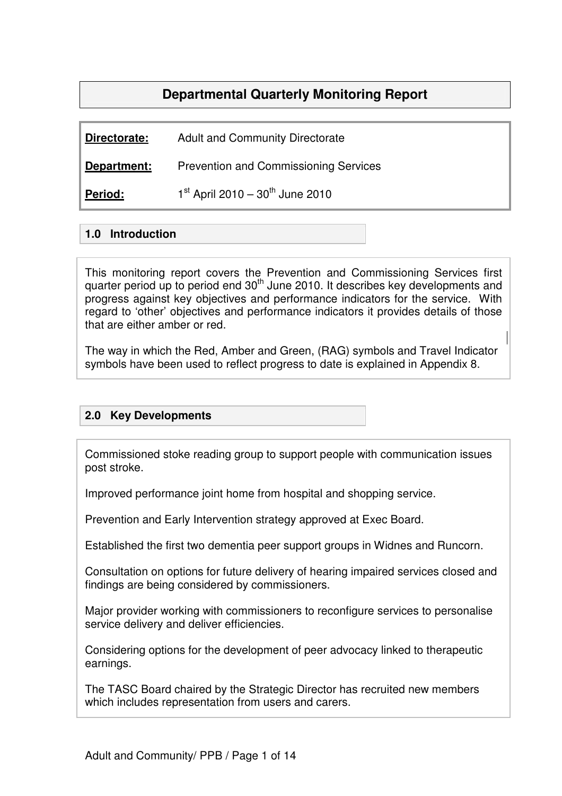# **Departmental Quarterly Monitoring Report**

**Directorate:** Adult and Community Directorate

**Department:** Prevention and Commissioning Services

Period:  $1^{\text{st}}$  April 2010 – 30<sup>th</sup> June 2010

#### **1.0 Introduction**

This monitoring report covers the Prevention and Commissioning Services first quarter period up to period end 30<sup>th</sup> June 2010. It describes key developments and progress against key objectives and performance indicators for the service. With regard to 'other' objectives and performance indicators it provides details of those that are either amber or red.

The way in which the Red, Amber and Green, (RAG) symbols and Travel Indicator symbols have been used to reflect progress to date is explained in Appendix 8.

#### **2.0 Key Developments**

Commissioned stoke reading group to support people with communication issues post stroke.

Improved performance joint home from hospital and shopping service.

Prevention and Early Intervention strategy approved at Exec Board.

Established the first two dementia peer support groups in Widnes and Runcorn.

Consultation on options for future delivery of hearing impaired services closed and findings are being considered by commissioners.

Major provider working with commissioners to reconfigure services to personalise service delivery and deliver efficiencies.

Considering options for the development of peer advocacy linked to therapeutic earnings.

The TASC Board chaired by the Strategic Director has recruited new members which includes representation from users and carers.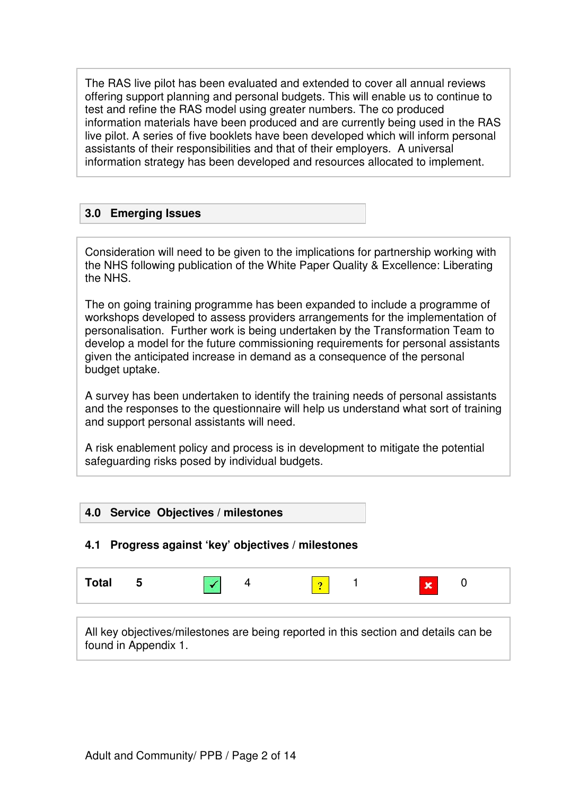The RAS live pilot has been evaluated and extended to cover all annual reviews offering support planning and personal budgets. This will enable us to continue to test and refine the RAS model using greater numbers. The co produced information materials have been produced and are currently being used in the RAS live pilot. A series of five booklets have been developed which will inform personal assistants of their responsibilities and that of their employers. A universal information strategy has been developed and resources allocated to implement.

#### **3.0 Emerging Issues**

Consideration will need to be given to the implications for partnership working with the NHS following publication of the White Paper Quality & Excellence: Liberating the NHS.

The on going training programme has been expanded to include a programme of workshops developed to assess providers arrangements for the implementation of personalisation. Further work is being undertaken by the Transformation Team to develop a model for the future commissioning requirements for personal assistants given the anticipated increase in demand as a consequence of the personal budget uptake.

A survey has been undertaken to identify the training needs of personal assistants and the responses to the questionnaire will help us understand what sort of training and support personal assistants will need.

A risk enablement policy and process is in development to mitigate the potential safeguarding risks posed by individual budgets.

#### **4.0 Service Objectives / milestones**

#### **4.1 Progress against 'key' objectives / milestones**



All key objectives/milestones are being reported in this section and details can be found in Appendix 1.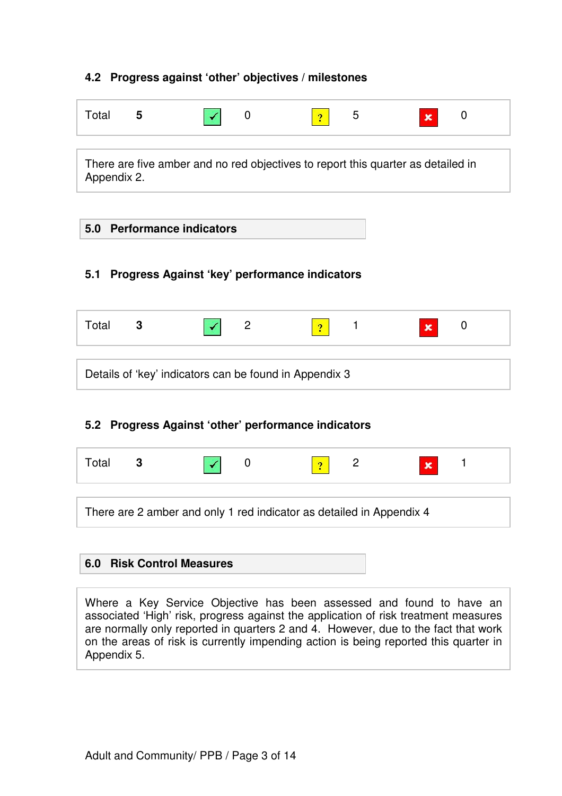### **4.2 Progress against 'other' objectives / milestones**

| Total | 5 |  | n<br>٠ | -<br>∽<br>ັ | $\mathbf x$ |  |
|-------|---|--|--------|-------------|-------------|--|
|       |   |  |        |             |             |  |

There are five amber and no red objectives to report this quarter as detailed in Appendix 2.

#### **5.0 Performance indicators**

#### **5.1 Progress Against 'key' performance indicators**

|--|--|

Details of 'key' indicators can be found in Appendix 3

## **5.2 Progress Against 'other' performance indicators**

| Total                                                                |  |  |  |  |  |  |
|----------------------------------------------------------------------|--|--|--|--|--|--|
|                                                                      |  |  |  |  |  |  |
| There are 2 amber and only 1 red indicator as detailed in Appendix 4 |  |  |  |  |  |  |

#### **6.0 Risk Control Measures**

Where a Key Service Objective has been assessed and found to have an associated 'High' risk, progress against the application of risk treatment measures are normally only reported in quarters 2 and 4. However, due to the fact that work on the areas of risk is currently impending action is being reported this quarter in Appendix 5.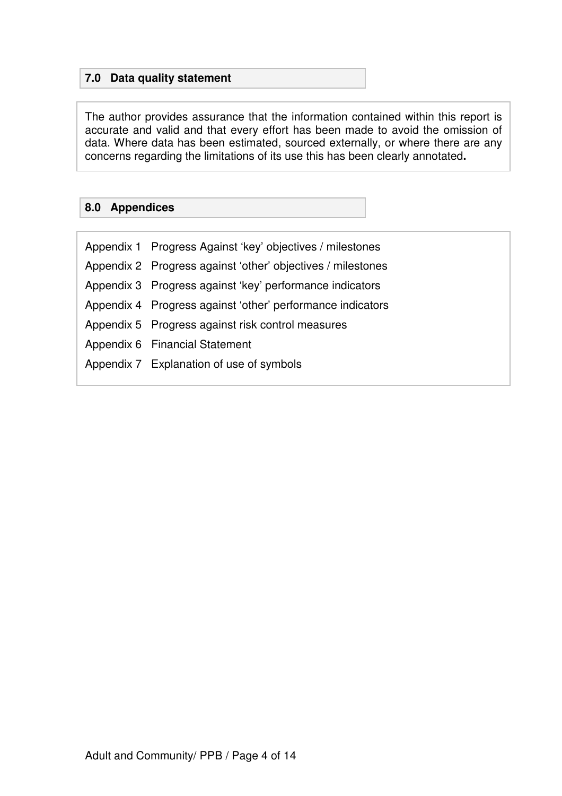## **7.0 Data quality statement**

The author provides assurance that the information contained within this report is accurate and valid and that every effort has been made to avoid the omission of data. Where data has been estimated, sourced externally, or where there are any concerns regarding the limitations of its use this has been clearly annotated**.**

### **8.0 Appendices**

| Appendix 1 Progress Against 'key' objectives / milestones   |
|-------------------------------------------------------------|
| Appendix 2 Progress against 'other' objectives / milestones |
| Appendix 3 Progress against 'key' performance indicators    |
| Appendix 4 Progress against 'other' performance indicators  |
| Appendix 5 Progress against risk control measures           |
| Appendix 6 Financial Statement                              |
| Appendix 7 Explanation of use of symbols                    |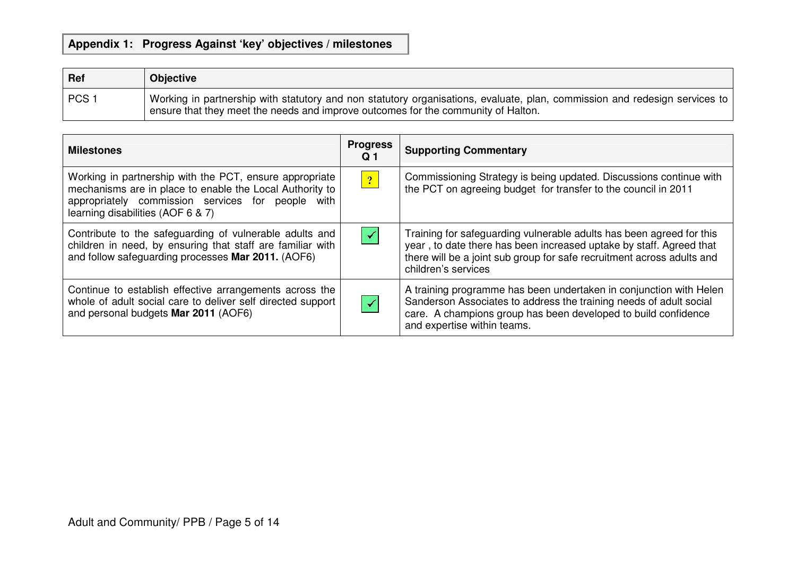## **Appendix 1: Progress Against 'key' objectives / milestones**

| <b>Ref</b> | <b>Objective</b>                                                                                                                                                                                                |
|------------|-----------------------------------------------------------------------------------------------------------------------------------------------------------------------------------------------------------------|
| PCS 1      | Working in partnership with statutory and non statutory organisations, evaluate, plan, commission and redesign services to<br>ensure that they meet the needs and improve outcomes for the community of Halton. |

| <b>Milestones</b>                                                                                                                                                                                             | <b>Progress</b><br>Q <sub>1</sub> | <b>Supporting Commentary</b>                                                                                                                                                                                                                 |
|---------------------------------------------------------------------------------------------------------------------------------------------------------------------------------------------------------------|-----------------------------------|----------------------------------------------------------------------------------------------------------------------------------------------------------------------------------------------------------------------------------------------|
| Working in partnership with the PCT, ensure appropriate<br>mechanisms are in place to enable the Local Authority to<br>appropriately commission services for people with<br>learning disabilities (AOF 6 & 7) | $\boxed{?}$                       | Commissioning Strategy is being updated. Discussions continue with<br>the PCT on agreeing budget for transfer to the council in 2011                                                                                                         |
| Contribute to the safeguarding of vulnerable adults and<br>children in need, by ensuring that staff are familiar with<br>and follow safeguarding processes Mar 2011. (AOF6)                                   | $\blacktriangledown$              | Training for safeguarding vulnerable adults has been agreed for this<br>year, to date there has been increased uptake by staff. Agreed that<br>there will be a joint sub group for safe recruitment across adults and<br>children's services |
| Continue to establish effective arrangements across the<br>whole of adult social care to deliver self directed support<br>and personal budgets Mar 2011 (AOF6)                                                | $\blacktriangledown$              | A training programme has been undertaken in conjunction with Helen<br>Sanderson Associates to address the training needs of adult social<br>care. A champions group has been developed to build confidence<br>and expertise within teams.    |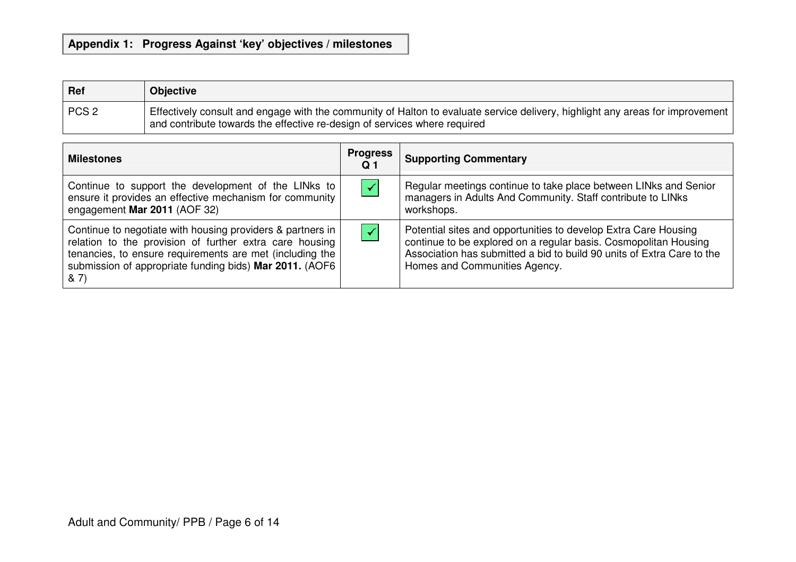### **Appendix 1: Progress Against 'key' objectives / milestones**

| Ref              | <b>Objective</b>                                                                                                                                                                                           |
|------------------|------------------------------------------------------------------------------------------------------------------------------------------------------------------------------------------------------------|
| PCS <sub>2</sub> | Effectively consult and engage with the community of Halton to evaluate service delivery, highlight any areas for improvement<br>and contribute towards the effective re-design of services where required |

| <b>Milestones</b>                                                                                                                                                                                                                                     | <b>Progress</b><br>Q <sub>1</sub> | <b>Supporting Commentary</b>                                                                                                                                                                                                                   |
|-------------------------------------------------------------------------------------------------------------------------------------------------------------------------------------------------------------------------------------------------------|-----------------------------------|------------------------------------------------------------------------------------------------------------------------------------------------------------------------------------------------------------------------------------------------|
| Continue to support the development of the LINks to<br>ensure it provides an effective mechanism for community<br>engagement Mar 2011 (AOF 32)                                                                                                        | $\blacktriangledown$              | Regular meetings continue to take place between LINks and Senior<br>managers in Adults And Community. Staff contribute to LINks<br>workshops.                                                                                                  |
| Continue to negotiate with housing providers & partners in<br>relation to the provision of further extra care housing<br>tenancies, to ensure requirements are met (including the<br>submission of appropriate funding bids) Mar 2011. (AOF6<br>8, 7) | $\blacktriangledown$              | Potential sites and opportunities to develop Extra Care Housing<br>continue to be explored on a regular basis. Cosmopolitan Housing<br>Association has submitted a bid to build 90 units of Extra Care to the<br>Homes and Communities Agency. |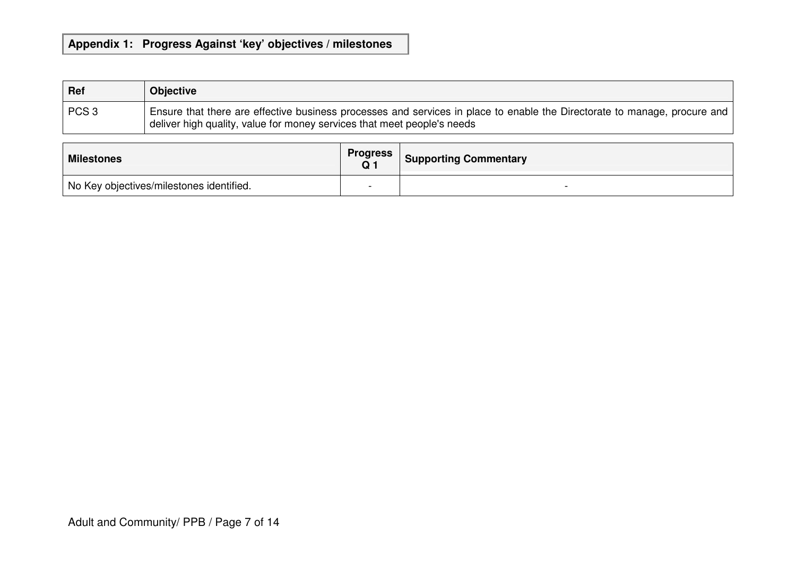#### **Appendix 1: Progress Against 'key' objectives / milestones**

| Ref              | <b>Objective</b>                                                                                                                                                                                     |
|------------------|------------------------------------------------------------------------------------------------------------------------------------------------------------------------------------------------------|
| PCS <sub>3</sub> | Ensure that there are effective business processes and services in place to enable the Directorate to manage, procure and<br>deliver high quality, value for money services that meet people's needs |

| <b>Milestones</b>                                     | <b>Progress</b> Supporting Commentary |
|-------------------------------------------------------|---------------------------------------|
| <sup>I</sup> No Key objectives/milestones identified. |                                       |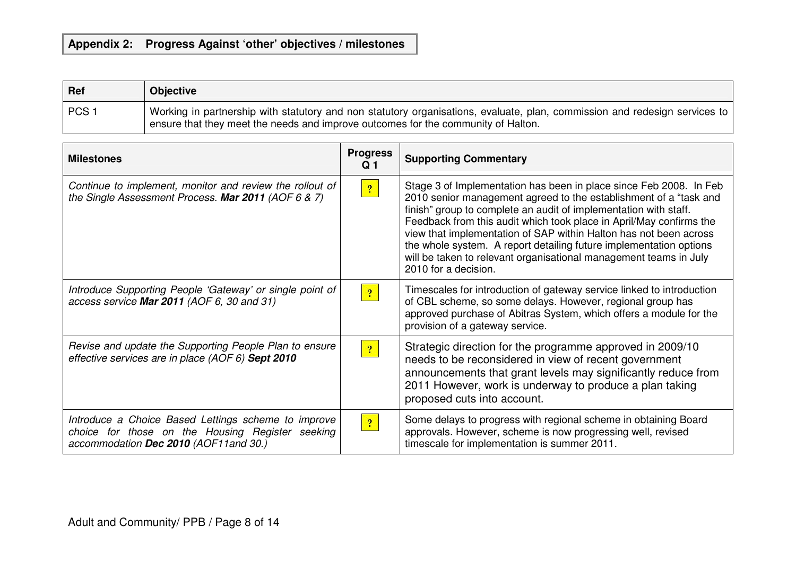### **Appendix 2: Progress Against 'other' objectives / milestones**

| Ref              | <b>Objective</b>                                                                                                                                                                                                |
|------------------|-----------------------------------------------------------------------------------------------------------------------------------------------------------------------------------------------------------------|
| PCS <sub>1</sub> | Working in partnership with statutory and non statutory organisations, evaluate, plan, commission and redesign services to<br>ensure that they meet the needs and improve outcomes for the community of Halton. |

| <b>Milestones</b>                                                                                                                                 | <b>Progress</b><br>Q 1 | <b>Supporting Commentary</b>                                                                                                                                                                                                                                                                                                                                                                                                                                                                                               |
|---------------------------------------------------------------------------------------------------------------------------------------------------|------------------------|----------------------------------------------------------------------------------------------------------------------------------------------------------------------------------------------------------------------------------------------------------------------------------------------------------------------------------------------------------------------------------------------------------------------------------------------------------------------------------------------------------------------------|
| Continue to implement, monitor and review the rollout of<br>the Single Assessment Process. Mar 2011 (AOF 6 & 7)                                   | $\sqrt{2}$             | Stage 3 of Implementation has been in place since Feb 2008. In Feb<br>2010 senior management agreed to the establishment of a "task and<br>finish" group to complete an audit of implementation with staff.<br>Feedback from this audit which took place in April/May confirms the<br>view that implementation of SAP within Halton has not been across<br>the whole system. A report detailing future implementation options<br>will be taken to relevant organisational management teams in July<br>2010 for a decision. |
| Introduce Supporting People 'Gateway' or single point of<br>access service Mar 2011 (AOF 6, 30 and 31)                                            | 2                      | Timescales for introduction of gateway service linked to introduction<br>of CBL scheme, so some delays. However, regional group has<br>approved purchase of Abitras System, which offers a module for the<br>provision of a gateway service.                                                                                                                                                                                                                                                                               |
| Revise and update the Supporting People Plan to ensure<br>effective services are in place (AOF 6) Sept 2010                                       | 2                      | Strategic direction for the programme approved in 2009/10<br>needs to be reconsidered in view of recent government<br>announcements that grant levels may significantly reduce from<br>2011 However, work is underway to produce a plan taking<br>proposed cuts into account.                                                                                                                                                                                                                                              |
| Introduce a Choice Based Lettings scheme to improve<br>choice for those on the Housing Register seeking<br>accommodation Dec 2010 (AOF11 and 30.) | $\boxed{?}$            | Some delays to progress with regional scheme in obtaining Board<br>approvals. However, scheme is now progressing well, revised<br>timescale for implementation is summer 2011.                                                                                                                                                                                                                                                                                                                                             |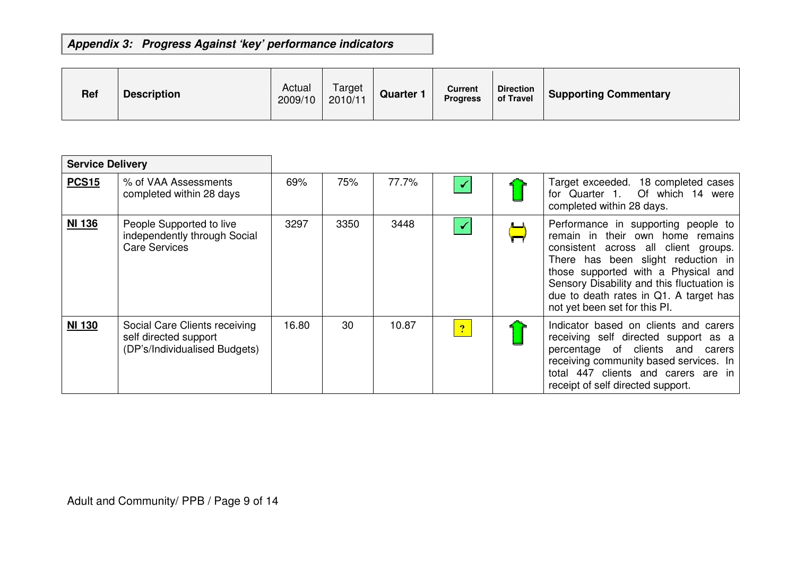## **Appendix 3: Progress Against 'key' performance indicators**

| <b>Ref</b> | <b>Description</b> | Actual<br>2009/10 | Target<br>2010/11 | <b>Quarter</b> | Current<br><b>Progress</b> | <b>Direction</b><br>of Travel | <b>Supporting Commentary</b> |
|------------|--------------------|-------------------|-------------------|----------------|----------------------------|-------------------------------|------------------------------|
|------------|--------------------|-------------------|-------------------|----------------|----------------------------|-------------------------------|------------------------------|

| <b>Service Delivery</b> |                                                                                         |       |      |       |                      |                                                                                                                                                                                                                                                                                                                       |
|-------------------------|-----------------------------------------------------------------------------------------|-------|------|-------|----------------------|-----------------------------------------------------------------------------------------------------------------------------------------------------------------------------------------------------------------------------------------------------------------------------------------------------------------------|
| <b>PCS15</b>            | % of VAA Assessments<br>completed within 28 days                                        | 69%   | 75%  | 77.7% | $\checkmark$         | Target exceeded. 18 completed cases<br>for Quarter 1. Of which 14 were<br>completed within 28 days.                                                                                                                                                                                                                   |
| <b>NI 136</b>           | People Supported to live<br>independently through Social<br><b>Care Services</b>        | 3297  | 3350 | 3448  | $\blacktriangledown$ | Performance in supporting people to<br>remain in their own home remains<br>consistent across all client groups.<br>There has been slight reduction in<br>those supported with a Physical and<br>Sensory Disability and this fluctuation is<br>due to death rates in Q1. A target has<br>not yet been set for this PI. |
| <b>NI 130</b>           | Social Care Clients receiving<br>self directed support<br>(DP's/Individualised Budgets) | 16.80 | 30   | 10.87 | 2                    | Indicator based on clients and carers<br>receiving self directed support as a<br>percentage of clients and<br>carers<br>receiving community based services. In<br>total 447 clients and carers are in<br>receipt of self directed support.                                                                            |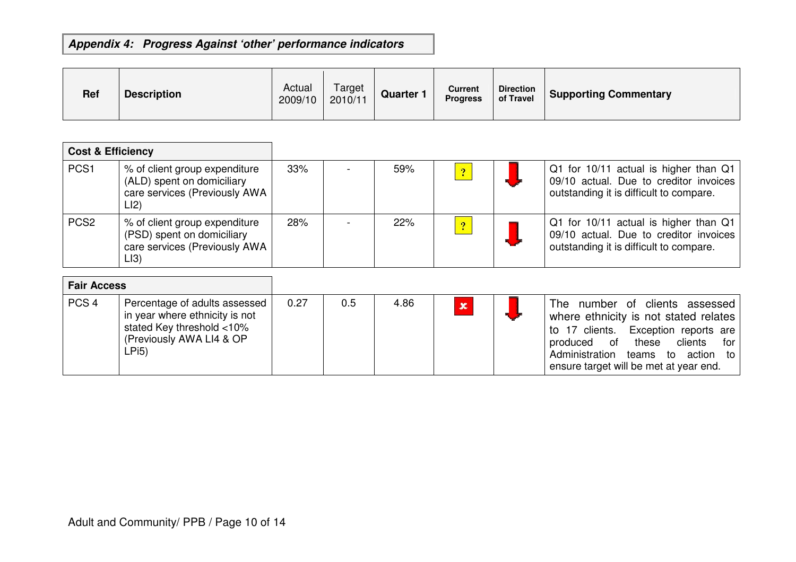## **Appendix 4: Progress Against 'other' performance indicators**

| <b>Ref</b> | <b>Description</b> | Actual<br>2009/10 | Target<br>2010/11 | Quarter | Current<br><b>Progress</b> | <b>Direction</b><br>of Travel | <b>Supporting Commentary</b> |
|------------|--------------------|-------------------|-------------------|---------|----------------------------|-------------------------------|------------------------------|
|------------|--------------------|-------------------|-------------------|---------|----------------------------|-------------------------------|------------------------------|

| <b>Cost &amp; Efficiency</b> |                                                                                                      |     |     |                          |                                                                                                                            |
|------------------------------|------------------------------------------------------------------------------------------------------|-----|-----|--------------------------|----------------------------------------------------------------------------------------------------------------------------|
| PCS <sub>1</sub>             | % of client group expenditure<br>(ALD) spent on domiciliary<br>care services (Previously AWA<br>LI2  | 33% | 59% | $\overline{\mathcal{L}}$ | Q1 for 10/11 actual is higher than Q1<br>09/10 actual. Due to creditor invoices<br>outstanding it is difficult to compare. |
| PCS <sub>2</sub>             | % of client group expenditure<br>(PSD) spent on domiciliary<br>care services (Previously AWA<br>LI3) | 28% | 22% | 2                        | Q1 for 10/11 actual is higher than Q1<br>09/10 actual. Due to creditor invoices<br>outstanding it is difficult to compare. |

| <b>Fair Access</b> |                                                                                                                                   |      |     |      |             |                                                                                                                                                                                                                                                         |
|--------------------|-----------------------------------------------------------------------------------------------------------------------------------|------|-----|------|-------------|---------------------------------------------------------------------------------------------------------------------------------------------------------------------------------------------------------------------------------------------------------|
| PCS <sub>4</sub>   | Percentage of adults assessed<br>in year where ethnicity is not<br>stated Key threshold <10%<br>(Previously AWA LI4 & OP<br>∟Pi5) | 0.27 | 0.5 | 4.86 | $\mathbf x$ | number of clients assessed<br>The<br>where ethnicity is not stated relates<br>Exception reports are<br>to 17 clients.<br>clients<br>of<br>these<br>produced<br>for<br>Administration teams to<br>action<br>to<br>ensure target will be met at year end. |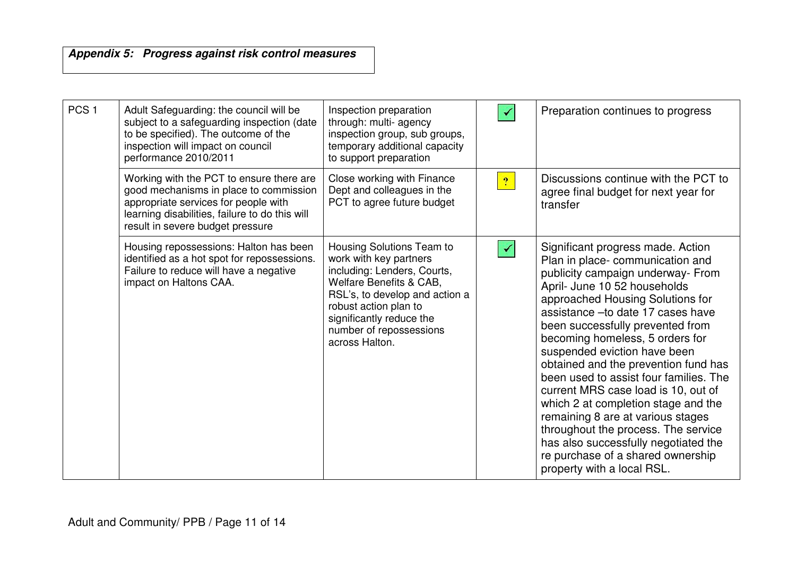## **Appendix 5: Progress against risk control measures**

| PCS <sub>1</sub> | Adult Safeguarding: the council will be<br>subject to a safeguarding inspection (date<br>to be specified). The outcome of the<br>inspection will impact on council<br>performance 2010/2011                      | Inspection preparation<br>through: multi- agency<br>inspection group, sub groups,<br>temporary additional capacity<br>to support preparation                                                                                                      |                | Preparation continues to progress                                                                                                                                                                                                                                                                                                                                                                                                                                                                                                                                                                                                                                                 |
|------------------|------------------------------------------------------------------------------------------------------------------------------------------------------------------------------------------------------------------|---------------------------------------------------------------------------------------------------------------------------------------------------------------------------------------------------------------------------------------------------|----------------|-----------------------------------------------------------------------------------------------------------------------------------------------------------------------------------------------------------------------------------------------------------------------------------------------------------------------------------------------------------------------------------------------------------------------------------------------------------------------------------------------------------------------------------------------------------------------------------------------------------------------------------------------------------------------------------|
|                  | Working with the PCT to ensure there are<br>good mechanisms in place to commission<br>appropriate services for people with<br>learning disabilities, failure to do this will<br>result in severe budget pressure | Close working with Finance<br>Dept and colleagues in the<br>PCT to agree future budget                                                                                                                                                            | $\overline{?}$ | Discussions continue with the PCT to<br>agree final budget for next year for<br>transfer                                                                                                                                                                                                                                                                                                                                                                                                                                                                                                                                                                                          |
|                  | Housing repossessions: Halton has been<br>identified as a hot spot for repossessions.<br>Failure to reduce will have a negative<br>impact on Haltons CAA.                                                        | Housing Solutions Team to<br>work with key partners<br>including: Lenders, Courts,<br>Welfare Benefits & CAB,<br>RSL's, to develop and action a<br>robust action plan to<br>significantly reduce the<br>number of repossessions<br>across Halton. |                | Significant progress made. Action<br>Plan in place-communication and<br>publicity campaign underway- From<br>April- June 10 52 households<br>approached Housing Solutions for<br>assistance - to date 17 cases have<br>been successfully prevented from<br>becoming homeless, 5 orders for<br>suspended eviction have been<br>obtained and the prevention fund has<br>been used to assist four families. The<br>current MRS case load is 10, out of<br>which 2 at completion stage and the<br>remaining 8 are at various stages<br>throughout the process. The service<br>has also successfully negotiated the<br>re purchase of a shared ownership<br>property with a local RSL. |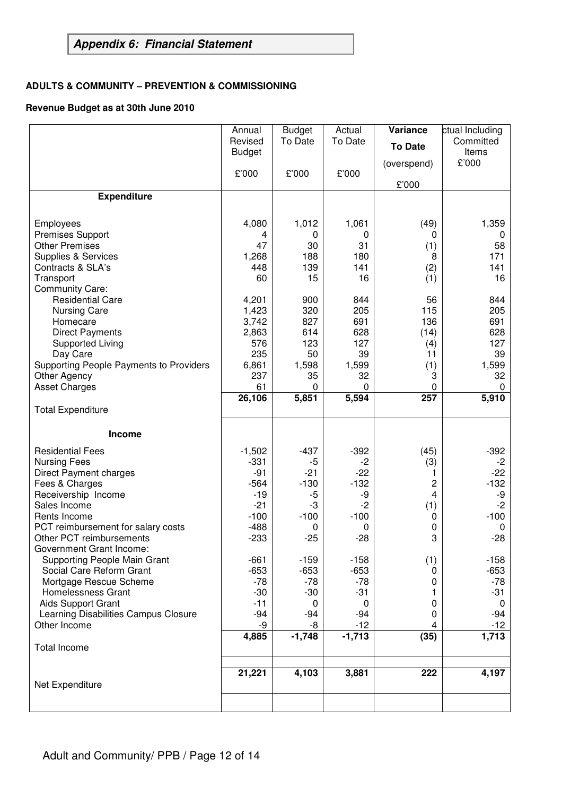# **Appendix 6: Financial Statement**

#### **ADULTS & COMMUNITY – PREVENTION & COMMISSIONING**

#### **Revenue Budget as at 30th June 2010**

|                                                | Annual        | <b>Budget</b> | Actual   | Variance       | ctual Including |
|------------------------------------------------|---------------|---------------|----------|----------------|-----------------|
|                                                | Revised       | To Date       | To Date  | <b>To Date</b> | Committed       |
|                                                | <b>Budget</b> |               |          |                | Items           |
|                                                | £'000         | £'000         | £'000    | (overspend)    | £'000           |
|                                                |               |               |          | £'000          |                 |
| <b>Expenditure</b>                             |               |               |          |                |                 |
|                                                |               |               |          |                |                 |
| Employees                                      | 4,080         | 1,012         | 1,061    | (49)           | 1,359           |
| <b>Premises Support</b>                        | 4             | 0             | 0        | 0              | U               |
| <b>Other Premises</b>                          | 47            | 30            | 31       | (1)            | 58              |
| Supplies & Services                            | 1,268         | 188           | 180      | 8              | 171             |
| Contracts & SLA's                              | 448           | 139           | 141      | (2)            | 141             |
| Transport                                      | 60            | 15            | 16       | (1)            | 16              |
| <b>Community Care:</b>                         |               |               |          |                |                 |
| <b>Residential Care</b>                        | 4,201         | 900           | 844      | 56             | 844             |
| <b>Nursing Care</b>                            | 1,423         | 320           | 205      | 115            | 205             |
| Homecare                                       | 3,742         | 827           | 691      | 136            | 691             |
| <b>Direct Payments</b>                         | 2,863         | 614           | 628      | (14)           | 628             |
| <b>Supported Living</b>                        | 576           | 123           | 127      | (4)            | 127             |
| Day Care                                       | 235           | 50            | 39       | 11             | 39              |
| <b>Supporting People Payments to Providers</b> | 6,861         | 1,598         | 1,599    | (1)            | 1,599           |
| Other Agency                                   | 237           | 35            | 32       | 3              | 32              |
| <b>Asset Charges</b>                           | 61            | 0             | 0        | 0              | 0               |
|                                                | 26,106        | 5,851         | 5,594    | 257            | 5,910           |
| <b>Total Expenditure</b>                       |               |               |          |                |                 |
| <b>Income</b>                                  |               |               |          |                |                 |
| <b>Residential Fees</b>                        | $-1,502$      | $-437$        | $-392$   | (45)           | $-392$          |
| <b>Nursing Fees</b>                            | $-331$        | $-5$          | -2       | (3)            | $-2$            |
| <b>Direct Payment charges</b>                  | $-91$         | $-21$         | $-22$    | 1              | $-22$           |
| Fees & Charges                                 | $-564$        | $-130$        | $-132$   | 2              | $-132$          |
| Receivership Income                            | $-19$         | -5            | -9       | 4              | -9              |
| Sales Income                                   | $-21$         | -3            | $-2$     | (1)            | $-2$            |
| Rents Income                                   | $-100$        | $-100$        | $-100$   | 0              | $-100$          |
| PCT reimbursement for salary costs             | $-488$        | 0             | 0        | 0              | 0               |
| Other PCT reimbursements                       | $-233$        | $-25$         | $-28$    | 3              | $-28$           |
| Government Grant Income:                       |               |               |          |                |                 |
| Supporting People Main Grant                   | $-661$        | $-159$        | $-158$   | (1)            | $-158$          |
| Social Care Reform Grant                       | $-653$        | $-653$        | $-653$   | 0              | $-653$          |
| Mortgage Rescue Scheme                         | $-78$         | $-78$         | $-78$    | 0              | -78             |
| Homelessness Grant                             | $-30$         | $-30$         | $-31$    | 1              | $-31$           |
| Aids Support Grant                             | $-11$         | 0             | 0        | 0              | 0               |
| Learning Disabilities Campus Closure           | $-94$         | $-94$         | -94      | 0              | -94             |
| Other Income                                   | -9            | -8            | $-12$    | 4              | $-12$           |
|                                                | 4,885         | $-1,748$      | $-1,713$ | (35)           | 1,713           |
| <b>Total Income</b>                            |               |               |          |                |                 |
|                                                | 21,221        | 4,103         | 3,881    | 222            | 4,197           |
| Net Expenditure                                |               |               |          |                |                 |
|                                                |               |               |          |                |                 |
|                                                |               |               |          |                |                 |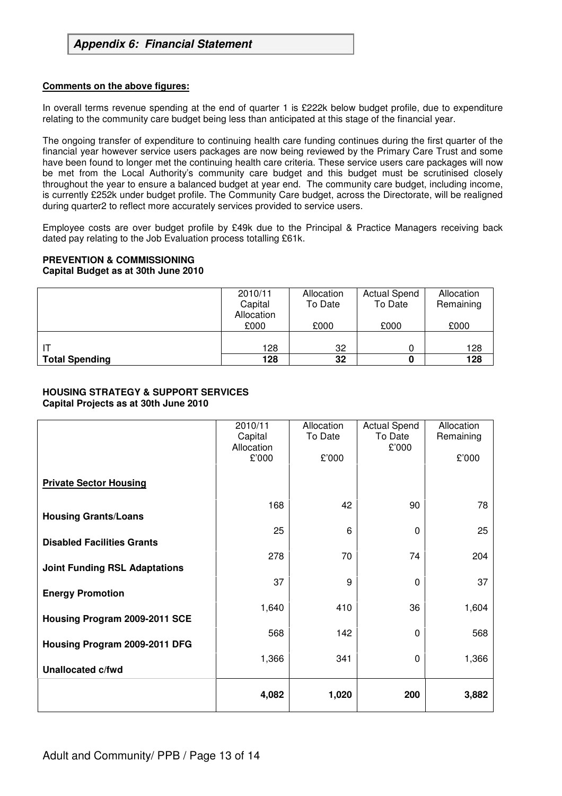#### **Comments on the above figures:**

In overall terms revenue spending at the end of quarter 1 is £222k below budget profile, due to expenditure relating to the community care budget being less than anticipated at this stage of the financial year.

The ongoing transfer of expenditure to continuing health care funding continues during the first quarter of the financial year however service users packages are now being reviewed by the Primary Care Trust and some have been found to longer met the continuing health care criteria. These service users care packages will now be met from the Local Authority's community care budget and this budget must be scrutinised closely throughout the year to ensure a balanced budget at year end. The community care budget, including income, is currently £252k under budget profile. The Community Care budget, across the Directorate, will be realigned during quarter2 to reflect more accurately services provided to service users.

Employee costs are over budget profile by £49k due to the Principal & Practice Managers receiving back dated pay relating to the Job Evaluation process totalling £61k.

#### **PREVENTION & COMMISSIONING**

#### **Capital Budget as at 30th June 2010**

|                       | 2010/11<br>Capital<br>Allocation | Allocation<br>To Date | <b>Actual Spend</b><br>To Date | Allocation<br>Remaining |
|-----------------------|----------------------------------|-----------------------|--------------------------------|-------------------------|
|                       | £000                             | £000                  | £000                           | £000                    |
|                       | 128                              | 32                    |                                | 128                     |
| <b>Total Spending</b> | 128                              | 32                    |                                | 128                     |

#### **HOUSING STRATEGY & SUPPORT SERVICES Capital Projects as at 30th June 2010**

|                                      | 2010/11<br>Capital<br>Allocation<br>£'000 | Allocation<br>To Date<br>£'000 | <b>Actual Spend</b><br>To Date<br>£'000 | Allocation<br>Remaining<br>£'000 |
|--------------------------------------|-------------------------------------------|--------------------------------|-----------------------------------------|----------------------------------|
| <b>Private Sector Housing</b>        |                                           |                                |                                         |                                  |
| <b>Housing Grants/Loans</b>          | 168                                       | 42                             | 90                                      | 78                               |
| <b>Disabled Facilities Grants</b>    | 25                                        | 6                              | 0                                       | 25                               |
| <b>Joint Funding RSL Adaptations</b> | 278                                       | 70                             | 74                                      | 204                              |
| <b>Energy Promotion</b>              | 37                                        | 9                              | 0                                       | 37                               |
| Housing Program 2009-2011 SCE        | 1,640                                     | 410                            | 36                                      | 1,604                            |
| Housing Program 2009-2011 DFG        | 568                                       | 142                            | 0                                       | 568                              |
| <b>Unallocated c/fwd</b>             | 1,366                                     | 341                            | 0                                       | 1,366                            |
|                                      | 4,082                                     | 1,020                          | 200                                     | 3,882                            |